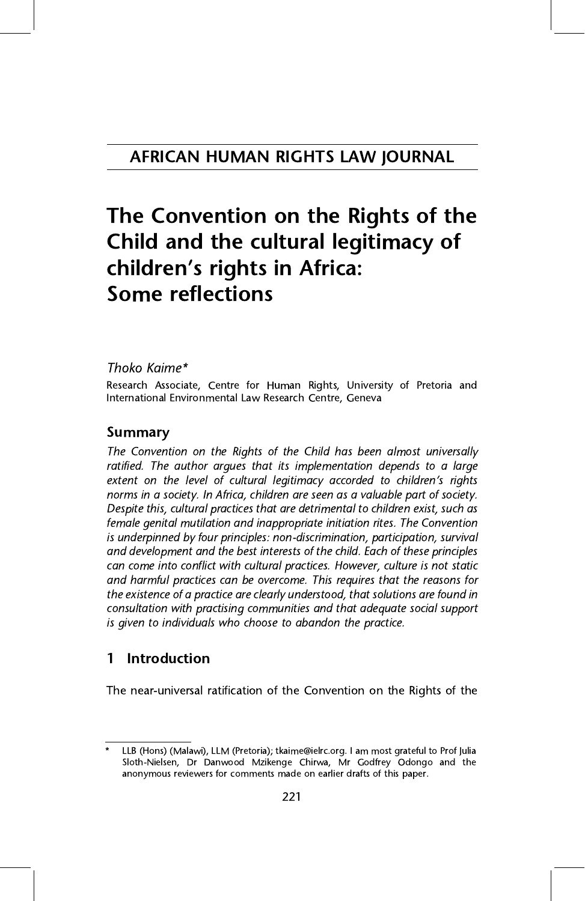## The Convention on the Rights of the<br>Child and the cultural legitimacy of Children's rights in Africa: children's rights in Africa:<br>Some reflections Some reflections

#### Thoko Kaime\*

Research Associate, Centre for Human Rights, University of Pretoria and Research Associate, Centre for Human Rights, Emissing of Pretoria and<br>International Environmental Law Research Centre Ceneva International Environmental Law Research Centre, Geneva

**Summary**<br>The Convention on the Rights of the Child has been almost universally ratified. The author argues that its implementation depends to a large extent on the level of cultural legitimacy accorded to children's rights<br>norms in a society. In Africa, children are seen as a valuable part of society. norms in a society. In Africa, children are seen as a valuable part of society. female genital mutilation and inappropriate initiation rites. The Convention is underpinned by four principles: non-discrimination, participation, survival and development and the best interests of the child. Each of these principles can come into conflict with cultural practices. However, culture is not static and harmful practices can be overcome. This requires that the reasons for the existence of a practice are clearly understood, that solutions are found in consultation with practising communities and that adequate social support consultation with practicity communities and that adequate social supports is is given to individuals who choose to abandon the practice.

#### Introduction  $\mathbf{1}$ 1 International Constitution

The near-universal ratification of the Convention on the Rights of the

LLB (Hons) (Malawi), LLM (Pretoria); tkaime@ielrc.org. I am most grateful to Prof Julia<br>Sloth-Nielsen, Dr Danwood Mzikenge Chirwa, Mr Godfrey Odongo and the  $S_{\text{S}}$  shop  $\mu$  and  $\mu$  and  $\mu$  and  $\mu$  and  $\mu$  and  $\mu$  and  $\mu$  and the  $\mu$  and the  $\mu$  and the  $\mu$  and the  $\mu$  and  $\mu$  and  $\mu$  and the  $\mu$  and  $\mu$  and  $\mu$  and  $\mu$  and  $\mu$  and  $\mu$  and  $\mu$  and  $\mu$  a anonymous reviewers for comments made on earlier drafts of this paper.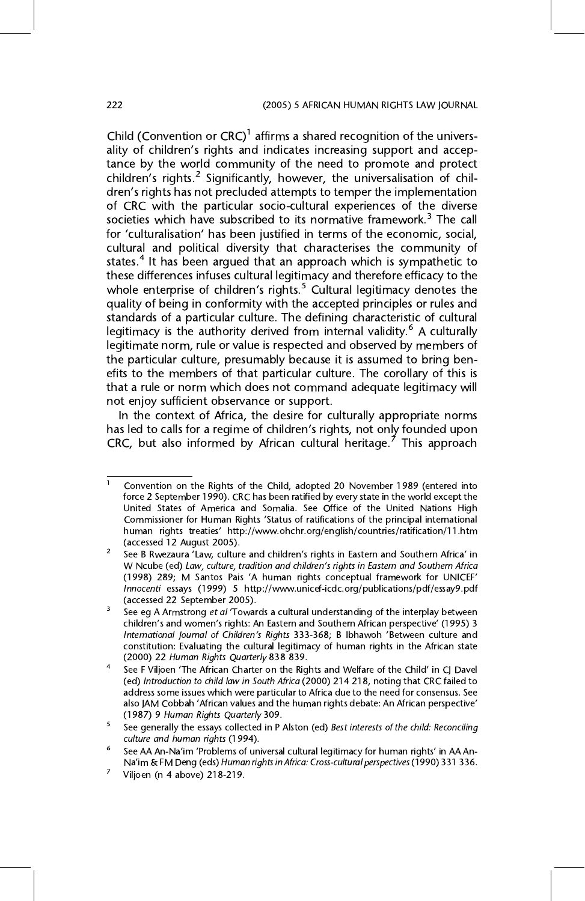Child (Convention or CRC) affirms a shared recognition of the univers-<br>ality of children's rights and indicates increasing support and accenality of children's rights and indicates increasing support and accep $t_{\text{infl}}$  children's rights.<sup>2</sup> Significantly, however, the universalisation of chil-<br>dren's rights has not precluded attemnts to temper the implementation dren's rights has not precluded attempts to temper the implementation<br>of CRC with the particular socio-cultural experiences of the diverse societies which have subscribed to its normative framework.<sup>3</sup> The call societies which have subscribed to its normative framework.<sup>3</sup> The call<br>for 'culturalisation' has been justified in terms of the economic, social for 'culturalisation' has been justified in terms of the economic, social,<br>cultural and political diversity that characterises the community of cultural and political diversity that characterises the community of states.<sup>4</sup> It has been argued that an approach which is sympathetic to these differences infuses cultural legitimacy and therefore efficacy to the whole enterprise of children's rights.<sup>5</sup> Cultural legitimacy denotes the quality of being in conformity with the accepted principles or rules and quality of being in conformity with the accepted principles or rules and<br>standards of a particular culture. The defining characteristic of cultural legitimacy is the authority derived from internal validity.<sup>6</sup> A culturally legitimate norm, rule or value is respected and observed by members of the particular culture, presumably because it is assumed to bring benefits to the members of that particular culture. The corollary of this is that a rule or norm which does not command adequate legitimacy will not enjoy sufficient observance or support.

In the context of Africa, the desire for culturally appropriate norms has led to calls for a regime of children's rights, not only founded upon<br>CBC but also informed by African cultural beritage.<sup>7</sup> This approach CRC, but also informed by African cultural heritage.<sup>7</sup> This approach

Convention on the Rights of the Child, adopted 20 November 1989 (entered into force 2 September 1990). CRC has been ratified by every state in the world except the United States of America and Somalia. See Office of the United Nations High Commissioner for Human Rights 'Status of ratifications of the principal international human rights treaties' http://www.ohchr.org/english/countries/ratification/11.htm<br>(accessed 12 August 2005) (accessed 12 August 2005). 2 See B Rwezaura 'Law, culture and children's rights in Eastern and Southern Africa' in

W Ncube (ed) Law, culture, tradition and children's rights in Eastern and Southern Africa (1998) 289; M Santos Pais 'A human rights conceptual framework for UNICEF'<br>Innocenti essays (1999) 5 http://www.unicef-icdc.org/publications/pdf/essay9.pdf (accessed 22 September 2005).

 $3\degree$  See eg A Armstrong *et al* 'Towards a cultural understanding of the interplay between children's and women's rights: An Eastern and Southern African perspective' (1995) 3 International Journal of Children's Rights 333-368; B Ibhawoh 'Between culture and constitution: Evaluating the cultural legitimacy of human rights in the African state (2000) 22 Human Rights Quarterly 838 839.

<sup>&</sup>lt;sup>4</sup> See F Viljoen 'The African Charter on the Rights and Welfare of the Child' in CJ Davel<br>(ed) Introduction to child law in South Africa (2000) 214 218, noting that CRC failed to address some issues which were particular to Africa due to the need for consensus. See also JAM Cobbah 'African values and the human rights debate: An African perspective'<br>(1987) 9 Human Rights Quarterly 309

<sup>(1987) 9</sup> Human Rights Quarterly 309.<br>See generally the essays collected in P Alston (ed) Best interests of the child: Reconciling<br>culture and human rights (1994).

See AA An-Na'im 'Problems of universal cultural legitimacy for human rights' in AA An-Na'im & FM Deng (eds) Human rights in Africa: Cross-cultural perspectives (1990) 331 336.<br><sup>7</sup> Viljoen (n 4 above) 218-219.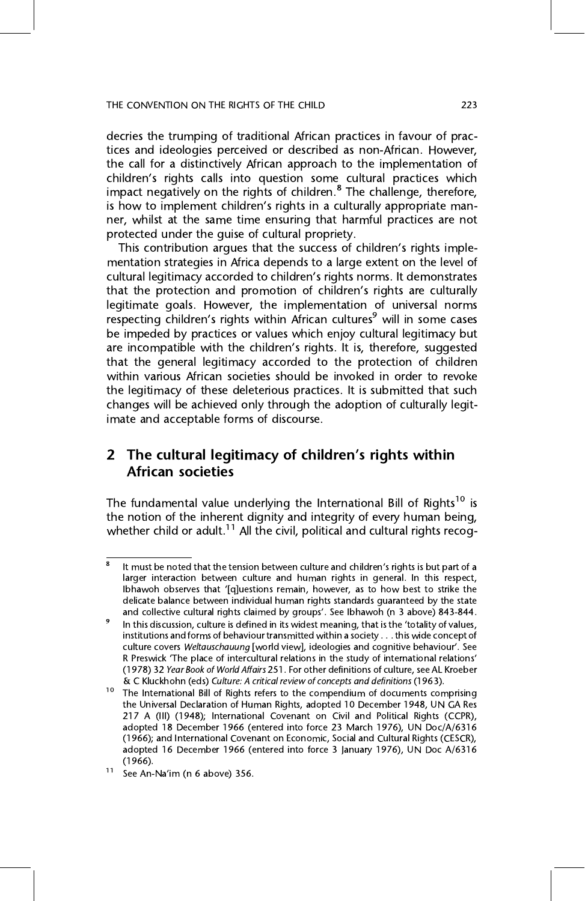decries the trumping of traditional African practices in favour of practices and ideologies perceived or described as non-African. However, the call for a distinctively African approach to the implementation of children's rights calls into question some cultural practices which impact negatively on the rights of children.<sup>8</sup> The challenge, therefore, impact negatively on the rights of children." The challenge, therefore,<br>is how to implement children's rights in a culturally appropriate manis how to implement children's rights in a culturally appropriate man-<br>ner, whilst at the same time ensuring that harmful practices are not ner, whilst at the same time ensuring that harmful practices are not protected under the quise of cultural propriety.

This contribution argues that the success of children's rights imple-<br>mentation strategies in Africa depends to a large extent on the level of mentation strategies in a large ends to a large entert on the level of<br>cultural legitimacy accorded to children's rights norms. It demonstrates<br>that the protection and promotion of children's rights are culturally that the protection and promotion of children's rights are culturally<br>legitimate goals. However, the implementation of universal norms respecting children's rights within African cultures<sup>9</sup> will in some cases<br>he impeded by practices or values which enjoy cultural legitimacy but are incompatible with the children's rights. It is, therefore, suggested<br>that the general legitimacy accorded to the protection of children that the general legitimacy accorded to the protection of children the legitimacy of these deleterious practices. It is submitted that such changes will be achieved only through the adoption of culturally legitchanges will be achieved only through the adoption of culturally legit-<br>imate and accentable forms of discourse imate and acceptable forms of discourse.

### 2 The cultural legitimacy of children's rights within African societies

The fundamental value underlying the International Bill of Rights<sup>10</sup> is the notion of the inherent dignity and integrity of every human being, whether child or adult.<sup>11</sup> All the civil, political and cultural rights recog-

 $\overline{8}$  It must be noted that the tension between culture and children's rights is but part of a larger interaction between culture and human rights in general. In this respect, lbhawoh observes that '[q]uestions remain, however, as to how best to strike the delicate balance between individual human rights standards quaranteed by the state and collective cultural rights claimed by groups'. See Ibhawoh (n 3 above) 843-844.

<sup>&</sup>lt;sup>9</sup> In this discussion, culture is defined in its widest meaning, that is the 'totality of values, institutions and forms of behaviour transmitted within a society . . . this wide concept of institutions and forms and forms of the culture covers Weltauschauung [world view], ideologies and cognitive behaviour'. See<br>R Preswick 'The place of intercultural relations in the study of international relations' R Preswick 'The place of intercultural relations in the study of international relations'<br>(1978) 32 Year Book of World Affairs 251. For other definitions of culture, see AL Kroeber & C Kluckhohn (eds) Culture: A critical review of concepts and definitions (1963).

<sup>&</sup>lt;sup>10</sup> The International Bill of Rights refers to the compendium of documents comprising the Universal Declaration of Human Rights, adopted 10 December 1948, UN GA Res 217 A (III) (1948); International Covenant on Civil and Political Rights (CCPR), adopted 18 December 1966 (entered into force 23 March 1976), UN Doc/A/6316 (1966); and International Covenant on Economic, Social and Cultural Rights (CESCR), (1966); and International Covenant on Economic, Social and Cultural Rights (CESCR), adopted 16 December 1966 (entered into force 3 january 1976), UN Doc A/631616<br>(1966) (1966).<br><sup>11</sup> See An-Na'im (n 6 above) 356.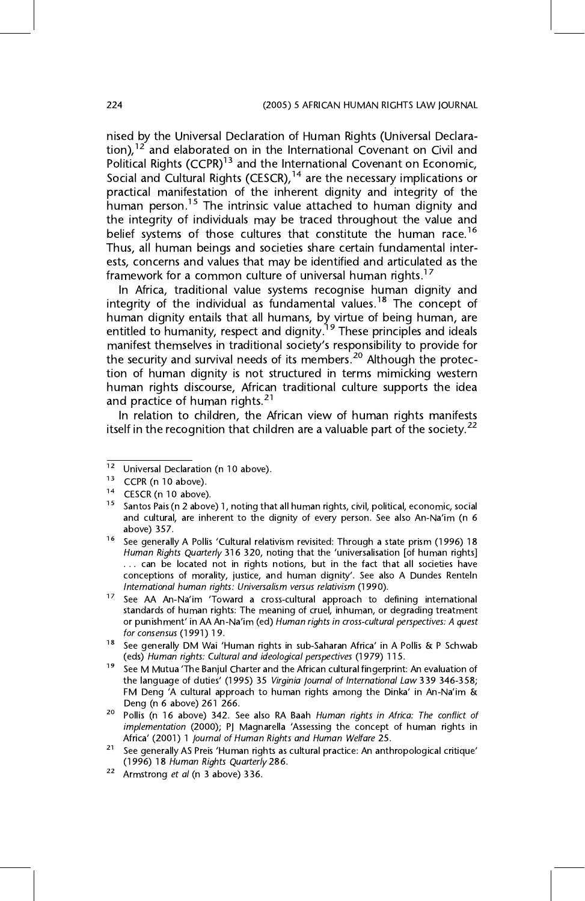nised by the Universal Declaration of Human Rights (Universal Declaration),<sup>12</sup> and elaborated on in the International Covenant on Civil and tion), <sup>2</sup> and elaborated on in the International Covenant on Civil and<br>Political Rights (CCPR)<sup>13</sup> and the International Covenant on Economic Political Rights (CCPR)<sup>13</sup> and the International Covenant on Economic,<br>Social and Cultural Rights (CESCR) <sup>14</sup> are the necessary implications or practical manifestation of the inherent dignity and integrity of the human person.<sup>15</sup> The intrinsic value attached to human dignity and the integrity of individuals may be traced throughout the value and belief systems of those cultures that constitute the human race.<sup>16</sup> Thus, all human beings and societies share certain fundamental interests, concerns and values that may be identified and articulated as the framework for a common culture of universal human rights.<sup>17</sup>

In Africa, traditional value systems recognise human dignity and integrity of the individual as fundamental values.<sup>18</sup> The concept of integrity of the individual as fundamental values.<sup>18</sup> The concept of<br>human dignity entails that all humans by virtue of being human, are  $h_{\text{m}}$  and  $h_{\text{m}}$  and  $h_{\text{m}}$  all humans, by  $h_{\text{m}}$  and  $h_{\text{m}}$  are  $h_{\text{m}}$  and  $h_{\text{m}}$  are  $h_{\text{m}}$  and  $h_{\text{m}}$  and  $h_{\text{m}}$ entitled to humanity, respect and dignity. These principles and ideals<br>manifest themselves in traditional society's responsibility to provide for manifest themselves in traditional society's responsibility to provide for<br>the security and survival needs of its members <sup>20</sup> Although the protecthe security and survival needs of its members.<sup>20</sup> Although the protection of human dignity is not structured in terms mimicking western human rights discourse, African traditional culture supports the idea and practice of human rights. $21$ 

In relation to children, the African view of human rights manifests itself in the recognition that children are a valuable part of the society.<sup>22</sup>

<sup>12</sup> Universal Declaration (n 10 above).<br>
13 CCPR (n 10 above).<br>
14 CESCR (n 10 above).<br>
15 Santos Pais (n 2 above) 1, noting that all human rights, civil, political, economic, social and cultural, are inherent to the dignity of every person. See also An-Na'im (n 6

<sup>&</sup>lt;sup>16</sup> See generally A Pollis 'Cultural relativism revisited: Through a state prism (1996) 18<br>Human Rights Quarterly 316 320, noting that the 'universalisation [of human rights] ... can be located not in rights notions, but in the fact that all societies have conceptions of morality, justice, and human dignity'. See also A Dundes Renteln<br>International human rights: Universalism versus relativism (1990)

International human rights: Universalism versus relativism (1990).<br><sup>17</sup> See AA An-Na'im 'Toward a cross-cultural approach to defining international standards of human rights: The meaning of cruel, inhuman, or degrading tr or punishment' in AA An-Na'im (ed) Human rights in cross-cultural perspectives: A quest<br>for consensus (1991) 19

for consensus (1991) 19.<br>See generally DM Wai 'Human rights in sub-Saharan Africa' in A Pollis & P Schwab (eds) Human rights: Cultural and ideological perspectives (1979) 115.

 $19$  See M Mutua 'The Banjul Charter and the African cultural fingerprint: An evaluation of the language of duties' (1995) 35 Virginia Journal of International Law 339 346-358; FM Deng <sup>'</sup>A cultural approach to human rights among the Dinka' in An-Na'im & Deng (n 6 above) 261 266.

<sup>&</sup>lt;sup>20</sup> Pollis (n 16 above) 342. See also RA Baah *Human rights in Africa: The conflict of implementation (2000); PJ Magnarella 'Assessing the concept of human rights in* Africa' (2001) 1 Journal of Human Rights and Human Welfare 25.

<sup>&</sup>lt;sup>21</sup> See generally AS Preis 'Human rights as cultural practice: An anthropological critique' (1996) 18 Human Rights Quarterly 286.

<sup>&</sup>lt;sup>22</sup> Armstrong *et al* (n 3 above) 336.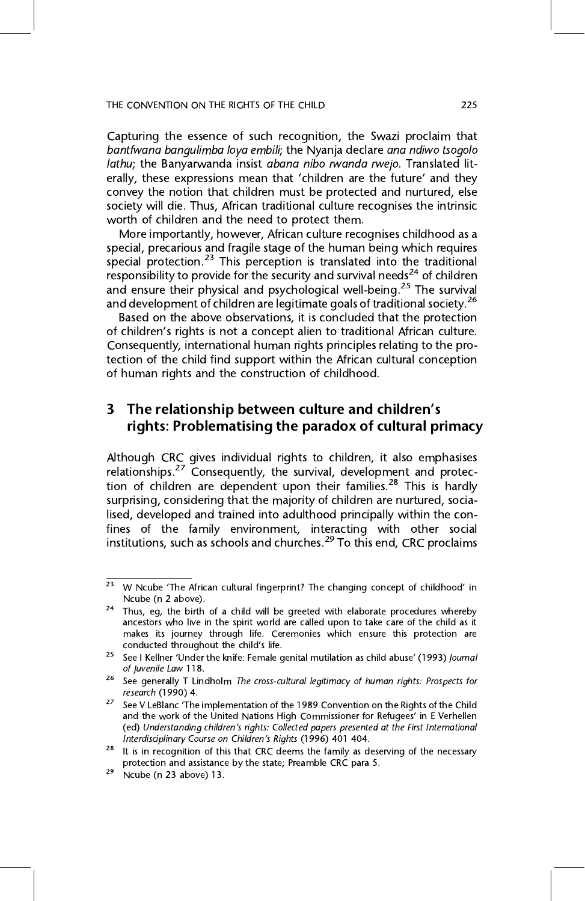Capturing the essence of such recognition, the Swazi proclaim that bantfwana bangulimba loya embili; the Nyanja declare ana ndiwo tsogolo lathu; the Banyarwanda insist abana nibo rwanda rwejo. Translated literally, these expressions mean that 'children are the future' and they<br>convey the notion that children must be protected and nurtured else convey the notion that children must be protected and nurtured, else worth of children and the need to protect them.

More importantly, however, African culture recognises childhood as a special, precarious and fragile stage of the human being which requires special protection.<sup>23</sup> This perception is translated into the traditional responsibility to provide for the security and survival needs<sup>24</sup> of children responsibility to provide for the security and survival needs<sup>24</sup> of children<br>and ensure their physical and psychological well-being <sup>25</sup> The survival and ensure their physical and psychological well-being.<sup>25</sup> The survival<br>and development of children are legitimate goals of traditional society.<sup>26</sup> and development of children are legitimate goals of traditional society.<sup>26</sup><br>Based on the above observations, it is concluded that the protection

of children's rights is not a concept alien to traditional African culture.<br>Consequently, international human rights principles relating to the pro-Consequently, international human rights principles relating to the pro- $\frac{1}{2}$  for the child  $\frac{1}{2}$  find  $\frac{1}{2}$  find  $\frac{1}{2}$  find  $\frac{1}{2}$  conception of childhood of human rights and the construction of childhood.

### 3 The relationship between culture and children's rights: Problematising the paradox of cultural primacy

Although CRC gives individual rights to children, it also emphasises relationships.<sup>27</sup> Consequently, the survival, development and protection of children are dependent upon their families.<sup>28</sup> This is hardly surprising, considering that the majority of children are nurtured, socialised, developed and trained into adulthood principally within the confines of the family environment, interacting with other social institutions, such as schools and churches.<sup>29</sup> To this end, CRC proclaims

<sup>&</sup>lt;sup>23</sup> W Ncube 'The African cultural fingerprint? The changing concept of childhood' in Ncube (n 2 above).

<sup>&</sup>lt;sup>24</sup> Thus, eg, the birth of a child will be greeted with elaborate procedures whereby ancestors who live in the spirit world are called upon to take care of the child as it makes its journey through life. Ceremonies which ensure this protection are conducted throughout the child's life.

See I Kellner 'Under the knife: Female genital mutilation as child abuse' (1993) Journal of Juvenile Law 118.

<sup>&</sup>lt;sup>26</sup> See generally T Lindholm *The cross-cultural legitimacy of human rights: Prospects for research* (1990) 4.

<sup>&</sup>lt;sup>27</sup> See V LeBlanc 'The implementation of the 1989 Convention on the Rights of the Child and the work of the United Nations High Commissioner for Refugees' in E Verhellen (ed) Understanding children's rights: Collected papers presented at the First International

<sup>&</sup>lt;sup>28</sup> It is in recognition of this that CRC deems the family as deserving of the necessary protection and assistance by the state; Preamble CRC para 5.

 $\frac{29}{2}$  Ncube (n 23 above) 13.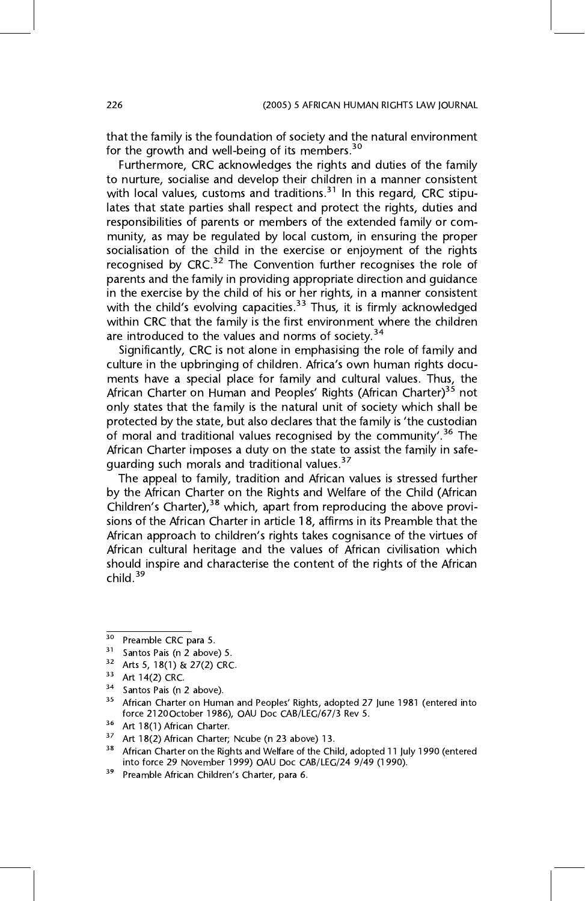that the family is the foundation of society and the natural environment for the growth and well-being of its members.<sup>30</sup>

Furthermore, CRC acknowledges the rights and duties of the family to nurture, socialise and develop their children in a manner consistent with local values, customs and traditions.<sup>31</sup> In this regard, CRC stipulates that state parties shall respect and protect the rights, duties and responsibilities of parents or members of the extended family or community, as may be regulated by local custom, in ensuring the proper socialisation of the child in the exercise or enjoyment of the rights recognised by CRC.<sup>32</sup> The Convention further recognises the role of parents and the family in providing appropriate direction and guidance in the exercise by the child of his or her rights, in a manner consistent with the child's evolving capacities.<sup>33</sup> Thus, it is firmly acknowledged within CRC that the family is the first environment where the children within CRC that the family is the first environment where the children are introduced to the values and norms of society.<sup>34</sup>

Significantly, CRC is not alone in emphasising the role of family and Explore in the upbringing of children. Africa's own human rights docu-<br>ments have a special place for family and cultural values. Thus, the African Charter on Human and Peoples' Rights (African Charter)<sup>35</sup> not<br>
only states that the family is the natural unit of society which shall be only states that the family is the natural unit of society which shall be protected by the state, but also declares that the family is 'the custodian of moral and traditional values recognised by the community'.<sup>36</sup> The current of moral and traditional values recognised by the community'.<sup>36</sup> The  $\frac{1}{2}$  and the state imposes a duty on the state the family in state<br>guarding such morals and traditional values.<sup>37</sup><br>The anneal to family tradition and African values is stressed further

The appeal to family, tradition and African values is stressed further<br>by the African Charter on the Rights and Welfare of the Child (African  $\frac{1}{2}$  Children's Charter),<sup>38</sup> which, apart from reproducing the above provi-<br>sions of the African Charter in article 18, affirms in its Preamble that the African approach to children's rights takes cognisance of the virtues of<br>African cultural heritage and the values of African civilisation which African cultural heritage and the values of African civilisation which should inspire and characterise the content of the rights of the African should  $39$ child. $39$ 

<sup>30</sup> 

<sup>&</sup>lt;sup>30</sup> Preamble CRC para 5.<br>
<sup>31</sup> Santos Pais (n 2 above) 5.<br>
<sup>32</sup> Arts 5, 18(1) & 27(2) CRC.<br>
<sup>33</sup> Art 14(2) CRC.<br>
<sup>34</sup> Santos Pais (n 2 above).<br>
<sup>35</sup> African Charter on Human and Peoples' Rights, adopted 27 June 1981 (ent

<sup>&</sup>lt;sup>36</sup> Art 18(1) African Charter.<br><sup>37</sup> Art 18(2) African Charter; Ncube (n 23 above) 13.<br><sup>38</sup> African Charter on the Rights and Welfare of the Child, adopted 11 July 1990 (entered<br>into force 29 November 1999) OAU Doc CAB/LE

<sup>&</sup>lt;sup>39</sup> Preamble African Children's Charter, para 6.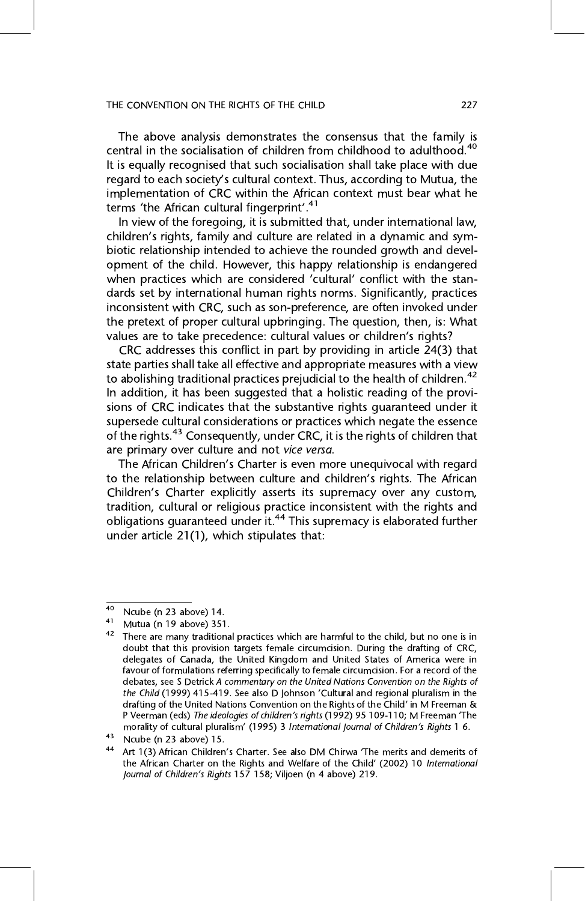The above analysis demonstrates the consensus that the family is central in the socialisation of children from childhood to adulthood.<sup>40</sup> It is equally recognised that such socialisation shall take place with due regard to each society's cultural context. Thus, according to Mutua, the<br>implementation of CRC within the African context must bear what he terms 'the African cultural fingerprint'.<sup>41</sup><br>In view of the foregoing it is submitted that under international law

In the foregoing, the culture that, under international law,<br>children's rights, family and culture are related in a dynamic and sym-<br>hintic relationship intended to achieve the rounded growth and develbiotic relationship intended to achieve the rounded growth and devel-<br>opment of the child. However, this happy relationship is endangered opment of the child child. However, the chippy continuing is enamgered<br>when practices which are considered 'cultural' conflict with the stan-<br>dards set by international buman rights norms. Significantly, practices dards set by international human rights norms. Significantly, practices inconsistent with CRC, such as son-preference, are often invoked under the pretext of proper cultural upbringing. The question, then, is: What values are to take precedence: cultural values or children's rights?<br>CBC addresses this conflict in part by providing in article 24(3) that

CRC addresses this conflict in part by providing in article 24(3) that state parties shall take all effective and appropriate measures with a view Finite Practicular and appropriate measure measures with a view and approximated to abolishing traditional practices prejudicial to the health of children.<sup>42</sup><br>In addition, it has been suggested that a bolistic reading of In addition, it has been suggested that a holistic reading of the provisions of CRC indicates that the substantive rights quaranteed under it supersede cultural considerations or practices which negate the essence of the rights.<sup>43</sup> Consequently, under CRC, it is the rights of children that

The African Children's Charter is even more unequivocal with regard<br>to the relationship between culture and children's rights. The African to the relationship between culture and children's rights. The African Children's Charter explicitly asserts its supremacy over any custom, tradition, cultural or religious practice inconsistent with the rights and obligations guaranteed under it.<sup>44</sup> This supremacy is elaborated further<br>under article 21(1), which stipulates that: under article 21(1), which stipulates that:

<sup>40</sup> 

<sup>40</sup> Ncube (n 23 above) 14.<br>
41 Mutua (n 19 above) 351.<br>
42 There are many traditional practices which are harmful to the child, but no one is in<br>
42 There are many traditional practices which are harmful to the child, but delegates of Canada, the United Kingdom and United States of America were in favour of formulations referring specifically to female circumcision. For a record of the debates, see S Detrick A commentary on the United Nations Convention on the Rights of the Child (1999) 415-419. See also D Johnson 'Cultural and regional pluralism in the drafting of the United Nations Convention on the Rights of the Child' in M Freeman &<br>P Veerman (eds) *The ideologies of children's rights* (1992) 95 109-110: M Freeman The P Veerman (eds) The ideologies of children's rights (1992) 95 109-110; M Freeman 'The morality of cultural pluralism' (1995) 3 International Journal of Children's Rights 1 6.

<sup>&</sup>lt;sup>43</sup> Ncube (n 23 above) 15.<br><sup>44</sup> Art 1(3) African Children's Charter. See also DM Chirwa 'The merits and demerits of the African Charter on the Rights and Welfare of the Child' (2002) 10 International Journal of Children's Rights 157 158; Viljoen (n 4 above) 219.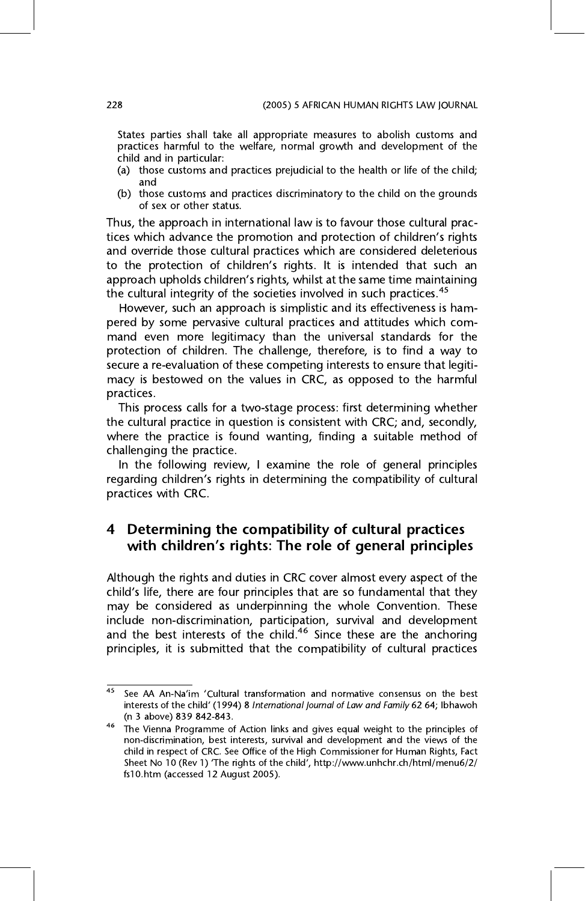States parties shall take all appropriate measures to abolish customs and practices harmful to the welfare, normal growth and development of the child and in particular:

- $(a)$  those customs and (b) these customs and practices prejudicial to the health or life of the child;
- (b) those customs and practices discriminatory to the child on the grounds of sex or other status.

Thus, the approach in international law is to favour those cultural practices which advance the promotion and protection of children's rights<br>and override those cultural practices which are considered deleterious to the protection of children's rights. It is intended that such an<br>annroach unholds children's rights whilst at the same time maintaining approach upholds children's rights, whilst at the same time maintaining the cultural integrity of the societies involved in such practices.<sup>45</sup>

However, such an approach is simplistic and its effectiveness is hampered by some pervasive cultural practices and attitudes which command even more legitimacy than the universal standards for the protection of children. The challenge, therefore, is to find a way to secure a re-evaluation of these competing interests to ensure that legitimacy is bestowed on the values in CRC, as opposed to the harmful macy is bestowed on the values in CRC, as opposed to the harmful practices.<br>This process calls for a two-stage process: first determining whether

the cultural practice in question is consistent with CRC; and, secondly, where the practice is found wanting, finding a suitable method of challenging the practice.

In the following review, I examine the role of general principles regarding children's rights in determining the compatibility of cultural<br>practices with CRC practices with CRC.

# with children's rights: The role of general principles

child's life, there are four principles that are so fundamental that they<br>may be considered as underninging the whole Convention. These may be considered as underpinning the whole Convention. These include non-discrimination, participation, survival and development and the best interests of the child.<sup>46</sup> Since these are the anchoring and the best interests of the child.<sup>46</sup> Since these are the anchoring<br>principles it is submitted that the compatibility of cultural practices principles, it is submitted that the compatibility of cultural practices

 $\frac{45}{45}$  See AA An-Na'im 'Cultural transformation and normative consensus on the best interests of the child' (1994) 8 International Journal of Law and Family 62 64; Ibhawoh (n 3 above) 839 842-843.

<sup>&</sup>lt;sup>46</sup> The Vienna Programme of Action links and gives equal weight to the principles of non-discrimination, best interests, survival and development and the views of the child in respect of CRC. See Office of the High Commissioner for Human Rights, Fact Sheet No 10 (Rev 1) 'The rights of the child', http://www.unhchr.ch/html/menu6/2/<br>fs10 htm (accessed 12 August 2005) fs10.htm (accessed 12 August 2005).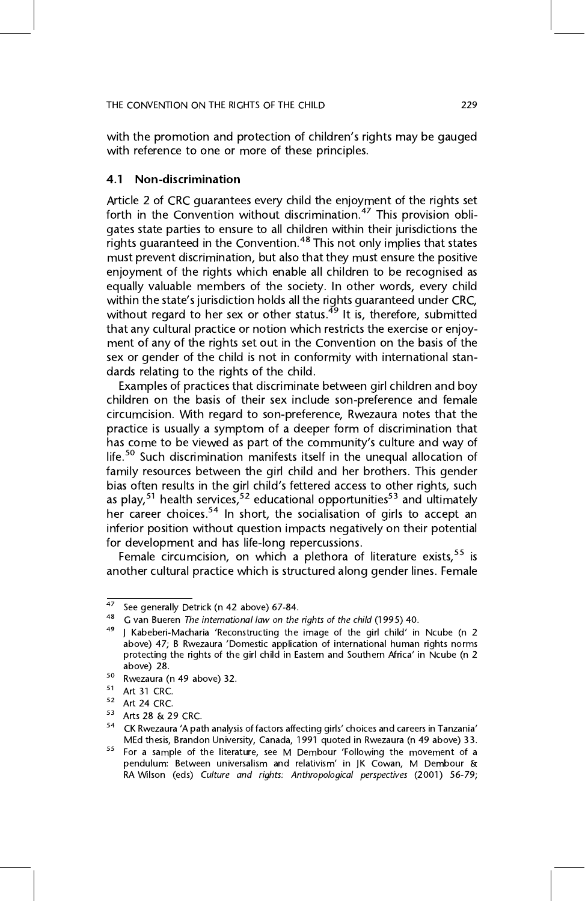#### THE CONVENTION ON THE RIGHTS OF THE CHILD 229 SECTION OF THE CHILD 229 SECTION OF THE CHILD 229 SECTION 229 SECTION 229 SECTION 229 SECTION 229 SECTION 229 SECTION 229 SECTION 229 SECTION 229 SECTION 229 SECTION 229 SECTIO

with the promotion and protection of children's rights may be gauged with reference to one or more of these principles. with reference to one or more of these principles.

#### $4.1$ Non-discrimination

Article 2 of CRC quarantees every child the enjoyment of the rights set forth in the Convention without discrimination.<sup>47</sup> This provision obligates state parties to ensure to all children within their jurisdictions the rights quaranteed in the Convention.<sup>48</sup> This not only implies that states must prevent discrimination, but also that they must ensure the positive enjoyment of the rights which enable all children to be recognised as equally valuable members of the society. In other words, every child within the state's jurisdiction holds all the rights guaranteed under CRC,<br>without regard to her sex or other status <sup>49</sup> It is therefore, submitted without regard to her sex or other status.<sup> $49$ </sup> It is, therefore, submitted that any cultural practice or notion which restricts the exercise or enjoyment of any of the rights set out in the Convention on the basis of the sex or gender of the child is not in conformity with international standards relating to the rights of the child.

Examples of practices that discriminate between girl children and boy children on the basis of their sex include son-preference and female circumcision. With regard to son-preference, Rwezaura notes that the practice is usually a symptom of a deeper form of discrimination that has come to be viewed as part of the community's culture and way of<br>life <sup>50</sup> Such discrimination manifests itself in the unequal allocation of life.<sup>50</sup> Such discrimination manifests itself in the unequal allocation of family resources between the girl child and her brothers. This gender bias often results in the girl child's fettered access to other rights, such as play,<sup>51</sup> health services,<sup>52</sup> educational opportunities<sup>53</sup> and ultimately her career choices.<sup>54</sup> In short, the socialisation of girls to accept an inferior position without question impacts negatively on their potential for development and has life-long repercussions.

Female circumcision, on which a plethora of literature exists,  $55$  is Female circumcision, on which a piethora of literature exists,<sup>35</sup> is<br>other cultural practice which is structured along gender lines. Female another cultural practice which is structured along gender lines. Female

<sup>47</sup> 

<sup>47</sup> See generally Detrick (n 42 above) 67-84.<br>
48 G van Bueren *The international law on the rights of the child* (1995) 40.<br>
49 J Kabeberi-Macharia 'Reconstructing the image of the girl child' in Ncube (n 2<br>
49 J Kabeberi protecting the rights of the girl child in Eastern and Southern Africa' in Ncube (n 2<br>above)  $28$ 

above) 28.<br>
<sup>50</sup> Rwezaura (n 49 above) 32.<br>
<sup>51</sup> Art 31 CRC.<br>
<sup>52</sup> Art 24 CRC.<br>
<sup>53</sup> Arts 28 & 29 CRC.<br>
<sup>54</sup> CK Rwezaura 'A path analysis of factors affecting girls' choices and careers in Tanzania'<br>
MEd thesis, Brandon U

 $55$  For a sample of the literature, see M Dembour 'Following the movement of a pendulum: Between universalism and relativism' in JK Cowan, M Dembour & RA Wilson (eds) Culture and rights: Anthropological perspectives (2001) 56-79;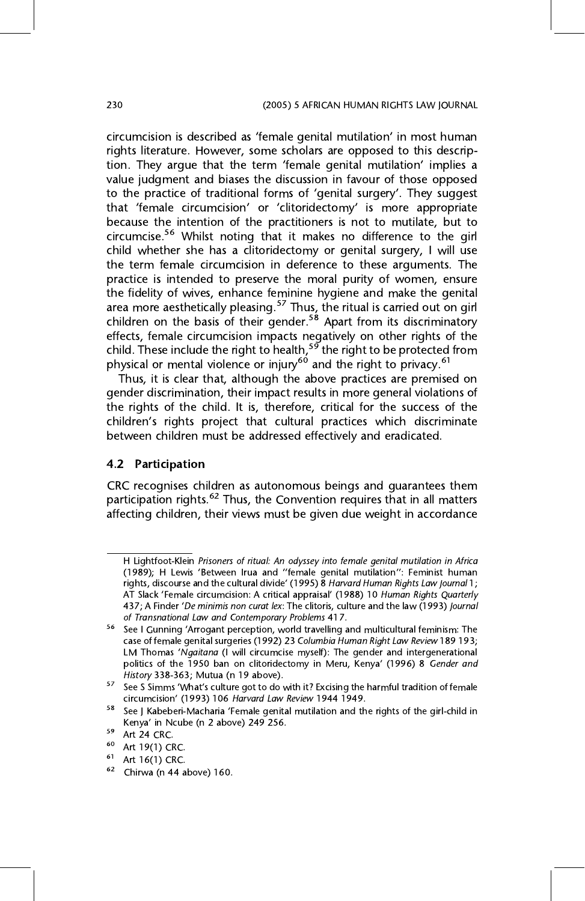circumcision is described as 'female genital mutilation' in most human<br>rights literature. However, some scholars are opposed to this descriprights literature. However, some stratume are opposed to the term<br>tion. They argue that the term 'female genital mutilation' implies a<br>value judgment and biases the discussion in favour of those opposed to the practice of traditional forms of 'genital surgery'. They suggest<br>that 'female circumcision' or 'clitoridectomy' is more appropriate that 'female circumcision' or 'clitoridectomy' is more appropriate because the intention of the practitioners is not to mutilate, but to circumcise.<sup>56</sup> Whilst noting that it makes no difference to the girl child whether she has a clitoridectomy or genital surgery, I will use the term female circumcision in deference to these arguments. The practice is intended to preserve the moral purity of women, ensure the fidelity of wives, enhance feminine hygiene and make the genital area more aesthetically pleasing.<sup>57</sup> Thus, the ritual is carried out on girl children on the basis of their gender<sup>58</sup> Apart from its discriminatory children on the basis of their gender. "Apart from its discriminatory<br>effects, female circumcision impacts negatively on other rights of the child. These include the right to health,<sup>59</sup> the right to be protected from physical or mental violence or injury<sup>60</sup> and the right to privacy <sup>61</sup> physical or mental violence or injury<sup>10</sup> and the right to privacy.<sup>61</sup><br>Thus it is clear that lalthough the above practices are premise

Thus, it is clear that, although the above practices are premised on gender discrimination, their impact results in more general violations of the rights of the child. It is, therefore, critical for the success of the the rights of the children's rights project that cultural practices which discriminate<br>hetween children must be addressed effectively and eradicated between children must be addressed effectively and eradicated.

### 4.2 Participation

CRC recognises children as autonomous beings and guarantees them participation rights.<sup>62</sup> Thus, the Convention requires that in all matters affecting children, their views must be given due weight in accordance affecting children, their views must be given due weight in accordance

<sup>(1989);</sup> H Lewis 'Between Irua and ''female genital mutilation'': Feminist human<br>rights discourse and the cultural divide' (1995) 8 Harvard Human Rights Law Journal 1: rights, discourse and the cultural divide' (1995) 8 Harvard Human Rights Law Journal 1; AT Slack 'Female circumcision: A critical appraisal' (1988) 10 Human Rights Quarterly<br>437; A Finder 'De minimis non curat lex: The clitoris, culture and the law (1993) Journal of Transnational Law and Contemporary Problems 417.

<sup>&</sup>lt;sup>56</sup> See I Gunning 'Arrogant perception, world travelling and multicultural feminism: The case of female genital surgeries (1992) 23 Columbia Human Right Law Review 189 193; LM Thomas 'Ngaitana (I will circumcise myself): The gender and intergenerational politics of the 1950 ban on clitoridectomy in Meru, Kenya' (1996) 8 Gender and<br>History 338-363: Mutua (n. 19 above)

History 338-363; Mutua (n 19 above).<br>57 See S Simms 'What's culture got to do with it? Excising the harmful tradition of female<br>57 Circumcision' (1993) 106 Harvard Law Review 1944 1949.

 $58$  See J Kabeberi-Macharia 'Female genital mutilation and the rights of the girl-child in Kenya' in Ncube (n 2 above) 249 256.<br>
<sup>59</sup> Art 24 CRC.<br>
<sup>60</sup> Art 19(1) CRC.<br>
<sup>61</sup> Art 16(1) CRC.<br>
<sup>62</sup> Chirwa (n 44 above) 160.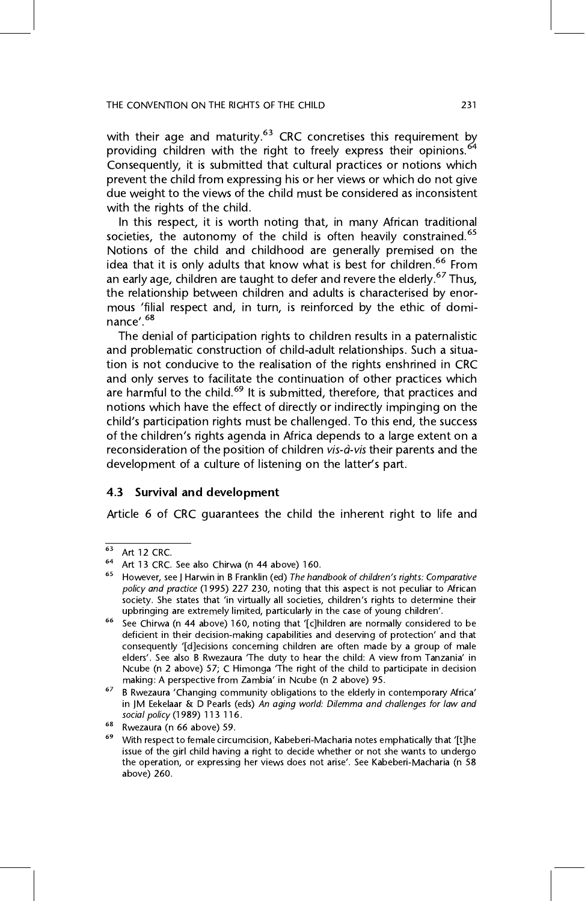#### THE CONVENTION ON THE RIGHTS OF THE CHILD 231 SECTION OF THE CHILD 231 SECTION OF THE CHILD 231 SECTION 231 SECTION 231 SECTION 231 SECTION 231 SECTION 231 SECTION 231 SECTION 231 SECTION 231 SECTION 231 SECTION 231 SECTIO

with their age and maturity.<sup>63</sup> CRC concretises this requirement by providing children with the right to freely express their opinions.<sup>64</sup> Consequently, it is submitted that cultural practices or notions which prevent the child from expressing his or her views or which do not give due weight to the views of the child must be considered as inconsistent with the rights of the child.

In this respect, it is worth noting that, in many African traditional societies, the autonomy of the child is often heavily constrained.<sup>65</sup> Notions of the child and childhood are generally premised on the idea that it is only adults that know what is best for children.<sup>66</sup> From an early age, children are taught to defer and revere the elderly.<sup>67</sup> Thus, the relationship between children and adults is characterised by enor- $\frac{1}{2}$  final reconstructionship between  $\frac{1}{2}$  and  $\frac{1}{2}$  in turn is reinforced by the ethic of domi $m$ s  $\frac{1}{2}$   $\frac{1}{68}$ nance'.<sup>68</sup><br>The denial of participation rights to children results in a paternalistic

and problematic construction of child-adult relationships. Such a situation is not conducive to the realisation of the rights enshrined in CRC and only serves to facilitate the continuation of other practices which are harmful to the child.<sup>69</sup> It is submitted, therefore, that practices and notions which have the effect of directly or indirectly impinging on the child's participation rights must be challenged. To this end, the success<br>of the children's rights agenda in Africa depends to a large extent on a of the children's rights agenda in Africa depends to a large extent on a reconsideration of the position of children *vis-à-vis* their parents and the reconsideration of the position of children is the their parents and the development of a culture of listening on the latter's part.

### 4.3 Survival and development

Article 6 of CRC guarantees the child the inherent right to life and

<sup>63</sup> Art 12 CRC.<br>
64 Art 13 CRC. See also Chirwa (n 44 above) 160.<br>
65 However, see J Harwin in B Franklin (ed) *The handbook of children's rights: Comparative*<br> *policy and practice* (1995) 227 230, noting that this aspect society. She states that 'in virtually all societies, children's rights to determine their<br>uphringing are extremely limited, particularly in the case of young children' upbringing are extremely limited, particularly in the case of young children'.<br><sup>66</sup> See Chirwa (n 44 above) 160, noting that '[c]hildren are normally considered to be

deficient in their decision-making capabilities and deserving of protection' and that consequently '[d]ecisions concerning children are often made by a group of male elders'. See also B Rwezaura 'The duty to hear the child: A view from Tanzania' in<br>Ncube (p. 2 above) 57: C Himonga 'The right of the child to participate in decision Ncube (n 2 above) 57; C Himonga 'The right of the child to participate in decision making: A perspective from Zambia' in Ncube (n 2 above) 95.

<sup>&</sup>lt;sup>67</sup> B Rwezaura 'Changing community obligations to the elderly in contemporary Africa' in JM Eekelaar & D Pearls (eds) An aging world: Dilemma and challenges for law and social policy (1989) 113 116.

<sup>&</sup>lt;sup>68</sup> Rwezaura (n 66 above) 59.<br><sup>69</sup> With respect to female circumcision, Kabeberi-Macharia notes emphatically that '[t]he<br>issue of the girl child having a right to decide whether or not she wants to undergo the operation, or expressing her views does not arise'. See Kabeberi-Macharia (n 58<br>above) 260 above) 260.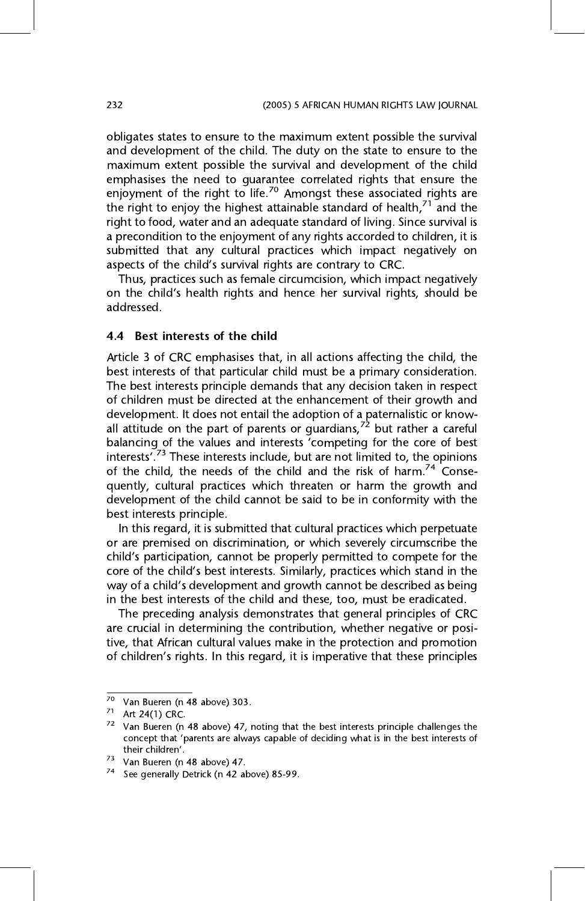obligates states to ensure to the maximum extent possible the survival and development of the child. The duty on the state to ensure to the maximum extent possible the survival and development of the child. emphasises the need to quarantee correlated rights that ensure the enjoyment of the right to life.<sup>70</sup> Amongst these associated rights are the right to enjoy the highest attainable standard of health, $71$  and the right to food, water and an adequate standard of living. Since survival is a precondition to the enjoyment of any rights accorded to children, it is submitted that any cultural practices which impact negatively on submitted that any cultural processes when impact negatively aspects of the child's survival rights are contrary to CRC.<br>Thus practices such as female circumcision, which impact peoatively

on the child's health rights and hence her survival rights, should be<br>addressed

4.4 Best interests of the child<br>Article 3 of CRC emphasises that, in all actions affecting the child, the best interests of that particular child must be a primary consideration. The best interests principle demands that any decision taken in respect of children must be directed at the enhancement of their growth and development. It does not entail the adoption of a paternalistic or knowall attitude on the part of parents or quardians,  $72$  but rather a careful balancing of the values and interests 'competing for the core of best interests'.<sup>73</sup> These interests include, but are not limited to, the opinions of the child the needs of the child and the risk of harm<sup>74</sup> Conseof the child, the needs of the child and the risk of harm.<sup>74</sup> Conse-<br>quently, cultural practices which threaten or harm the growth and development of the child cannot be said to be in conformity with the best interests principle.

In this regard, it is submitted that cultural practices which perpetuate or are premised on discrimination, or which severely circumscribe the child's participation, cannot be properly permitted to compete for the<br>core of the child's best interests. Similarly, practices which stand in the core of the child's best interests. Similarly, practices which stand in the way of a child's development and growth cannot be described as being in the best interests of the child and these, too, must be eradicated.

The preceding analysis demonstrates that general principles of CRC are crucial in determining the contribution, whether negative or positive, that African cultural values make in the protection and promotion tive, that African cultural values make in the protection and promotion of children's rights. In this regard, it is imperative that these principles

<sup>70</sup> 

The Van Bueren (n 48 above) 303.<br>
71 Art 24(1) CRC.<br>
72 Van Bueren (n 48 above) 47, noting that the best interests principle challenges the concept that 'parents are always capable of deciding what is in the best interests of their children'.

<sup>&</sup>lt;sup>73</sup> Van Bueren (n 48 above) 47.<br><sup>74</sup> See generally Detrick (n 42 above) 85-99.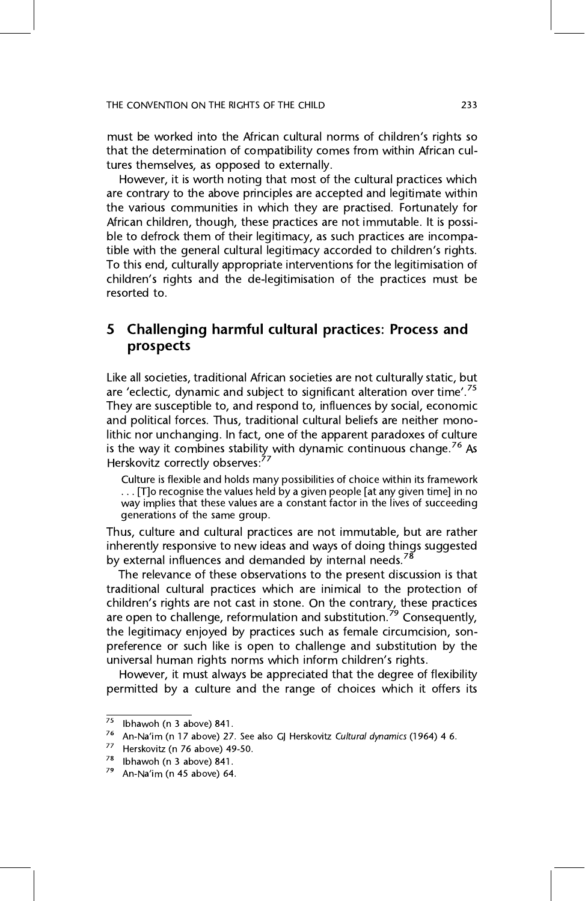#### THE CONVENTION ON THE RIGHTS OF THE CHILD 2333 STREET

must be worked into the African cultural norms of children's rights so that the determination of compatibility comes from within African cultures themselves, as opposed to externally.

However, it is worth noting that most of the cultural practices which are contrary to the above principles are accepted and legitimate within the various communities in which they are practised. Fortunately for African children, though, these practices are not immutable. It is possible to defrock them of their legitimacy, as such practices are incompatible with the general cultural legitimacy accorded to children's rights.<br>To this end, culturally appropriate interventions for the legitimisation of To this end, culturally appropriate interventions for the legitimisation of children's rights and the de-legitimisation of the practices must be

### 5 Challenging harmful cultural practices: Process and prospects

are 'eclectic, dynamic and subject to significant alteration over time'.<sup>75</sup><br>They are susceptible to and respond to influences by social economic They are susceptible to, and respond to, influences by social, economic<br>and political forces. Thus, traditional cultural beliefs are neither monolithic nor unchanging. In fact, one of the apparent paradoxes of culture is the way it combines stability with dynamic continuous change.<sup>76</sup> As<br>Herskovitz correctly observes<sup>.77</sup> Herskovitz correctly observes:<br>77. Culture is flouible and bolds mea

Culture is flexible and holds many possibilities of choice within its framework<br>... [T]o recognise the values held by a given people [at any given time] in no way implies that these values are a constant factor in the lives of succeeding generations of the same group.

Thus, culture and cultural practices are not immutable, but are rather inherently responsive to new ideas and ways of doing things suggested by external influences and demanded by internal needs.<sup>78</sup>

The relevance of these observations to the present discussion is that traditional cultural practices which are inimical to the protection of children's rights are not cast in stone. On the contrary, these practices are open to challenge, reformulation and substitution.<sup>79</sup> Consequently, the legitimacy enjoyed by practices such as female circumcision, sonpreference or such like is open to challenge and substitution by the universal human rights norms which inform children's rights.<br>However, it must always be anneciated that the degree of flexibility

 $\frac{1}{2}$  must always be approximated that the degree of choices which it offers its permitted by a culture and the range of choices which it offers its

<sup>&</sup>lt;sup>75</sup> Ibhawoh (n 3 above) 841.<br><sup>76</sup> An-Na'im (n 17 above) 27. See also GJ Herskovitz Cultural dynamics (1964) 4 6.<br><sup>77</sup> Herskovitz (n 76 above) 49-50.<br><sup>78</sup> Ibhawoh (n 3 above) 841.<br><sup>79</sup> An-Na'im (n 45 above) 64.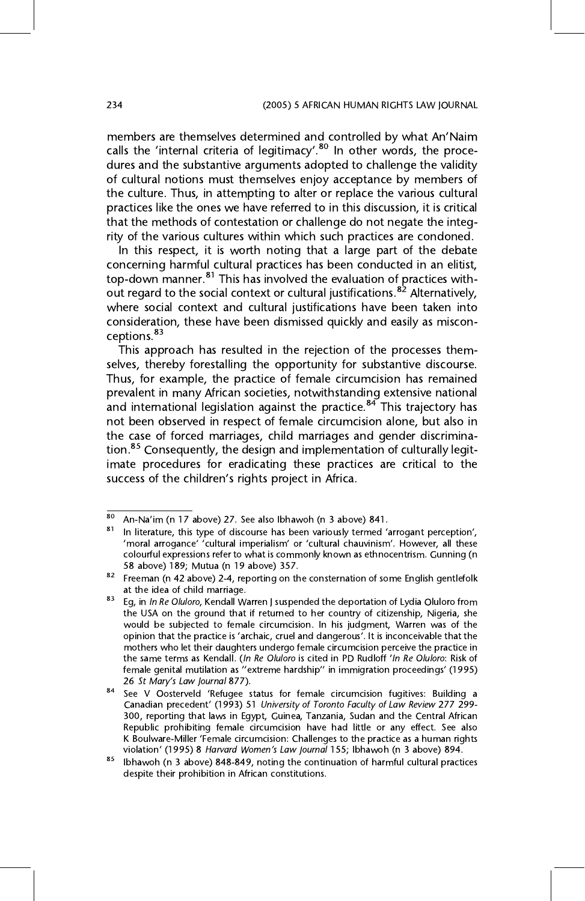members are themselves determined and controlled by what An'Naim<br>calls the 'internal criteria of legitimacy' <sup>80</sup> In other words, the procecalls the 'internal criteria of legitimacy'.<sup>80</sup> In other words, the proce-<br>dures and the substantive arguments adopted to challenge the validity dures and the substantive arguments adopted to challenge the validity<br>of cultural notions must themselves enjoy acceptance by members of the culture. Thus, in attempting to alter or replace the various cultural practices like the ones we have referred to in this discussion, it is critical that the methods of contestation or challenge do not negate the integrity of the various cultures within which such practices are condoned.

In this respect, it is worth noting that a large part of the debate concerning harmful cultural practices has been conducted in an elitist, top-down manner. $81$  This has involved the evaluation of practices without regard to the social context or cultural justifications.<sup>82</sup> Alternatively, where social context and cultural justifications have been taken into consideration, these have been dismissed quickly and easily as misconceptions.<sup>83</sup>

This approach has resulted in the rejection of the processes themselves, thereby forestalling the opportunity for substantive discourse. Thus, for example, the practice of female circumcision has remained prevalent in many African societies, notwithstanding extensive national and international legislation against the practice. $84$  This trajectory has not been observed in respect of female circumcision alone, but also in the case of forced marriages, child marriages and gender discrimination.<sup>85</sup> Consequently, the design and implementation of culturally legitimate procedures for eradicating these practices are critical to the imate procedures for eradicating these practices are critical to the success of the children's rights project in Africa.

 $\frac{1}{80}$  An-Na'im (n 17 above) 27. See also Ibhawoh (n 3 above) 841.<br>81 In literature, this type of discourse has been variously termed 'arrogant perception',

<sup>&#</sup>x27;moral arrogance' 'cultural imperialism' or 'cultural chauvinism'. However, all these<br>colourful expressions refer to what is commonly known as ethnocentrism. Gunning (n 58 above) 189; Mutua (n 19 above) 357.

<sup>&</sup>lt;sup>82</sup> Freeman (n 42 above) 2-4, reporting on the consternation of some English gentlefolk at the idea of child marriage.

<sup>&</sup>lt;sup>83</sup> Eg, in *In Re Oluloro*, Kendall Warren J suspended the deportation of Lydia Oluloro from the USA on the ground that if returned to her country of citizenship, Nigeria, she would be subjected to female circumcision. In his judgment, Warren was of the opinion that the practice is 'archaic, cruel and dangerous'. It is inconceivable that the mothers who let their daughters undergo female circumcision perceive the practice in mothers who let their daughters undergo female circumcision perceive the practice in<br>the same terms as Kendall. (In Re Oluloro is cited in PD Rudloff 'In Re Oluloro: Risk of female genital mutilation as "extreme hardship" in immigration proceedings' (1995)<br>female genital mutilation as "extreme hardship" in immigration proceedings' (1995) 26 St Mary's Law Journal 877).<br><sup>84</sup> See V Oosterveld 'Refugee status for female circumcision fugitives: Building a

Canadian precedent' (1993) 51 University of Toronto Faculty of Law Review 277 299-<br>300, reporting that laws in Egypt, Guinea, Tanzania, Sudan and the Central African Republic prohibiting female circumcision have had little or any effect. See also K Boulware-Miller 'Female circumcision: Challenges to the practice as a human rights violation' (1995) 8 Harvard Women's Law Journal 155; Ibhawoh (n 3 above) 894.

 $85$  Ibhawoh (n 3 above) 848-849, noting the continuation of harmful cultural practices despite their prohibition in African constitutions.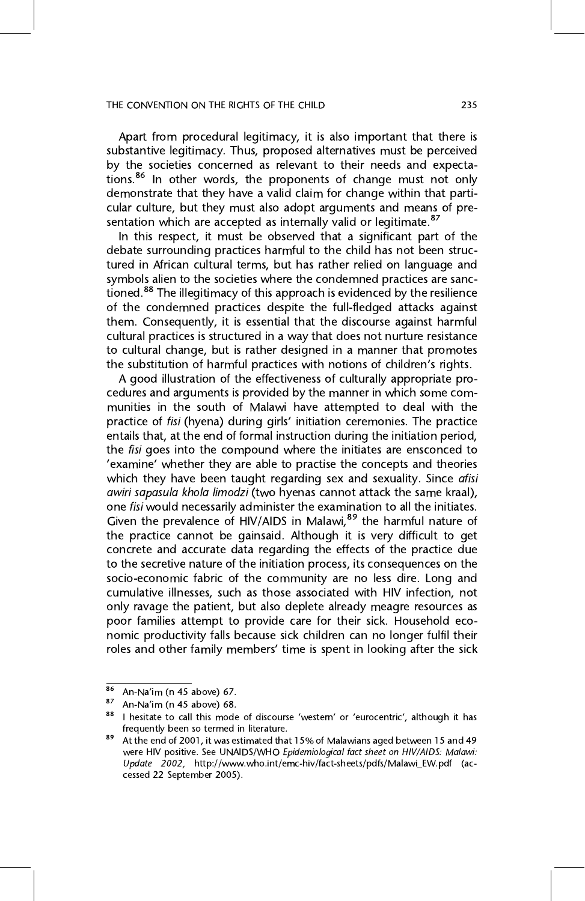Apart from procedural legitimacy, it is also important that there is substantive legitimacy. Thus, proposed alternatives must be perceived by the societies concerned as relevant to their needs and expectations.<sup>86</sup> In other words, the proponents of change must not only demonstrate that they have a valid claim for change within that particular culture, but they must also adopt arguments and means of presentation which are accepted as internally valid or legitimate.<sup>87</sup>

In this respect, it must be observed that a significant part of the debate surrounding practices harmful to the child has not been structured in African cultural terms, but has rather relied on language and symbols alien to the societies where the condemned practices are sanctioned.<sup>88</sup> The illegitimacy of this approach is evidenced by the resilience of the condemned practices despite the full-fledged attacks against them. Consequently, it is essential that the discourse against harmful cultural practices is structured in a way that does not nurture resistance to cultural change, but is rather designed in a manner that promotes the substitution of harmful practices with notions of children's rights.<br>A good illustration of the effectiveness of culturally appropriate pro-

A good illustration of the effectiveness of culturally appropriate promunities in the south of Malawi have attempted to deal with the practice of *fisi* (hyena) during girls' initiation ceremonies. The practice<br>entails that at the end of formal instruction during the initiation period entails that, at the end of formal instruction during the initiation period, the *fisi* goes into the compound where the initiates are ensconced to the fising goes into the compound mode in a matter are encounted to<br>  $\frac{1}{2}$  examine' whether they are able to practise the concepts and theories which they have been taught regarding sex and sexuality. Since afisi awiri sapasula khola limodzi (two hyenas cannot attack the same kraal), one fisi would necessarily administer the examination to all the initiates. Given the prevalence of HIV/AIDS in Malawi,<sup>89</sup> the harmful nature of the practice cannot be gainsaid. Although it is very difficult to get concrete and accurate data regarding the effects of the practice due to the secretive nature of the initiation process, its consequences on the socio-economic fabric of the community are no less dire. Long and cumulative illnesses, such as those associated with HIV infection, not only ravage the patient, but also deplete already meagre resources as poor families attempt to provide care for their sick. Household economic productivity falls because sick children can no longer fulfil their roles and other family members' time is spent in looking after the sick

<sup>&</sup>lt;sup>86</sup> An-Na'im (n 45 above) 67.<br><sup>87</sup> An-Na'im (n 45 above) 68.<br><sup>88</sup> I hesitate to call this mode of discourse 'western' or 'eurocentric', although it has frequently been so termed in literature.

<sup>&</sup>lt;sup>89</sup> At the end of 2001, it was estimated that 15% of Malawians aged between 15 and 49 were HIV positive. See UNAIDS/WHO *Epidemiological fact sheet on HIV/AIDS: Malawi:* Update 2002, http://www.who.int/emc-hiv/fact-sheets/pdfs/Malawi\_EW.pdf (accessed 22 September 2005). cesse 22 September 2005).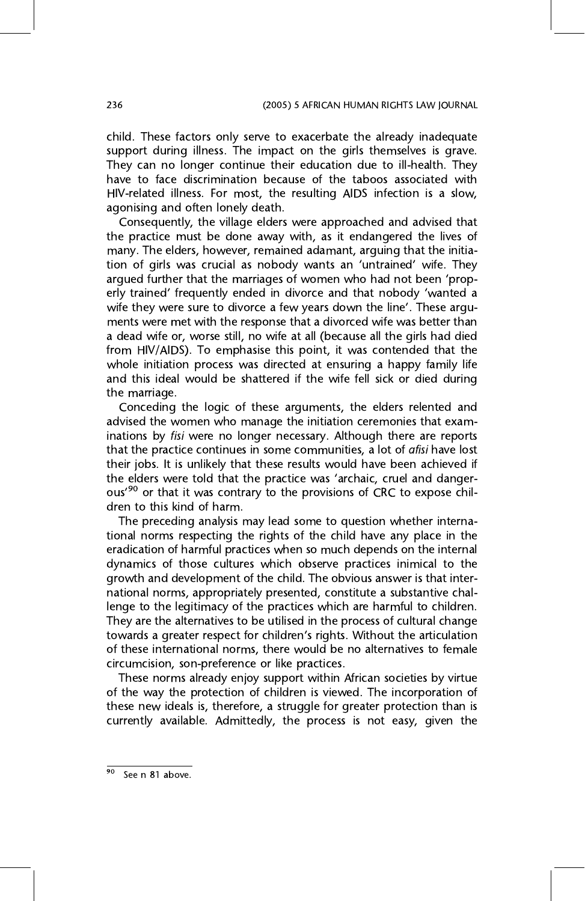child. These factors only serve to exacerbate the already inadequate support during illness. The impact on the girls themselves is grave. They can no longer continue their education due to ill-health. They have to face discrimination because of the taboos associated with HIV-related illness. For most, the resulting AIDS infection is a slow, agonising and often lonely death.

Consequently, the village elders were approached and advised that the practice must be done away with, as it endangered the lives of many. The elders, however, remained adamant, arguing that the initiamany. The energy remains a handled adamancy arguing that the initia-<br>tion of girls was crucial as nobody wants an 'untrained' wife. They erly trained' frequently ended in divorce and that nobody 'wanted a<br>wife they were sure to divorce a few years down the line'. These arguwife they were sure to divorce a few years down the line'. These argu-<br>ments were met with the response that a divorced wife was better than a dead wife or, worse still, no wife at all (because all the girls had died from HIV/AIDS). To emphasise this point, it was contended that the whole initiation process was directed at ensuring a happy family life while initiative process was directed at ensuring a happy family life and the wife fell side is therefore is the wife fell side of the wife  $\mathcal S$ the marriage.<br>Conceding the logic of these arguments, the elders relented and

advised the women who manage the initiation ceremonies that examinations by fisi were no longer necessary. Although there are reports that the practice continues in some communities, a lot of *afisi* have lost their jobs. It is unlikely that these results would have been achieved if the elders were told that the practice was 'archaic, cruel and dangerous'<sup>90</sup> or that it was contrary to the provisions of CRC to expose chil-<br>drep to this kind of harm dren to this kind of harm.<br>The preceding analysis may lead some to question whether interna-

tional norms respecting the rights of the child have any place in the eradication of harmful practices when so much depends on the internal dynamics of those cultures which observe practices inimical to the growth and development of the child. The obvious answer is that international norms, appropriately presented, constitute a substantive challenge to the legitimacy of the practices which are harmful to children. They are the alternatives to be utilised in the process of cultural change towards a greater respect for children's rights. Without the articulation<br>of these international porms, there would be no alternatives to female of these international norms, there would be no alternatives to female circumcision, son-preference or like practices.

These norms already enjoy support within African societies by virtue of the way the protection of children is viewed. The incorporation of these new ideals is, therefore, a struggle for greater protection than is these new ideals is, therefore, a struggle for greater protection than it currently available. Admittedly, the process is not easy, given the

See n 81 above.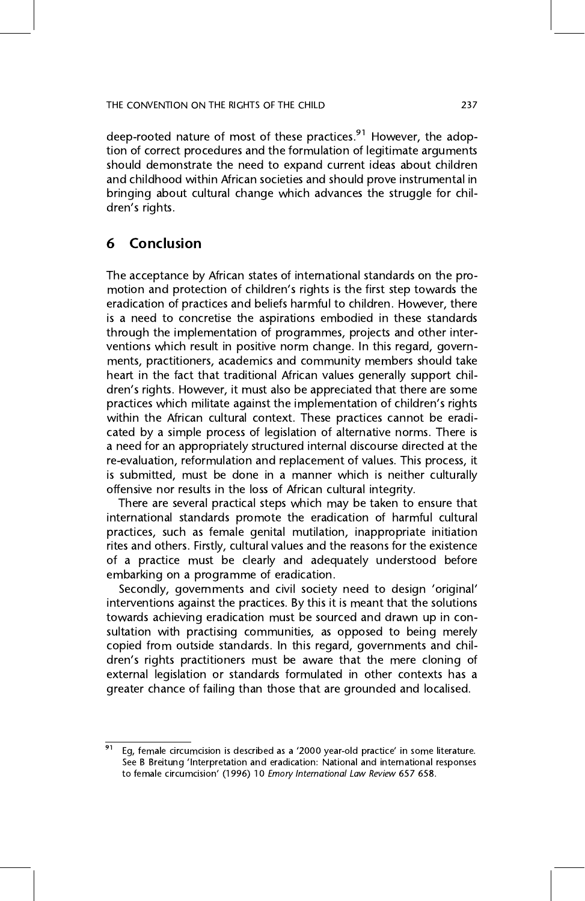deep-rooted nature of most of these practices.<sup>91</sup> However, the adop-<br>tion of correct procedures and the formulation of legitimate arguments should demonstrate the need to expand current ideas about children and childhood within African societies and should prove instrumental in bringing about cultural change which advances the struggle for chilbringing about cultural change which advances the struggle for chil-dren's rights.

#### Conclusion 6 6 Conclusion

motion and protection of children's rights is the first step towards the<br>eradication of practices and beliefs barmful to children. However, there eradication of practices and beliefs harmful to children. However, there is a need to concretise the aspirations embodied in these standards through the implementation of programmes, projects and other interventions which result in positive norm change. In this regard, governments, practitioners, academics and community members should take heart in the fact that traditional African values generally support children's rights. However, it must also be appreciated that there are some<br>practices which militate against the implementation of children's rights practices which militate against the implementation of children's rights cated by a simple process of legislation of alternative norms. There is a need for an appropriately structured internal discourse directed at the re-evaluation, reformulation and replacement of values. This process, it is submitted, must be done in a manner which is neither culturally offensive nor results in the loss of African cultural integrity.

There are several practical steps which may be taken to ensure that international standards promote the eradication of harmful cultural practices, such as female genital mutilation, inappropriate initiation rites and others. Firstly, cultural values and the reasons for the existence of a practice must be clearly and adequately understood before embarking on a programme of eradication.

Embarking on a programme of enalisments.<br>Secondly, governments and civil society need to design 'original'<br>interventions against the practices. By this it is meant that the solutions interventions against the practices. By this it is meant that the solutions towards achieving eradication must be sourced and drawn up in consultation with practising communities, as opposed to being merely copied from outside standards. In this regard, governments and children's rights practitioners must be aware that the mere cloning of<br>external legislation or standards formulated in other contexts has a external legislation of failing than those that are grounded and localised greater chance of failing than those that are grounded and localised.

<sup>&</sup>lt;sup>91</sup> Eg, female circumcision is described as a '2000 year-old practice' in some literature.<br>See B Breitung 'Interpretation and eradication: National and international responses **See Breitung Interpretation:** The international Law Review 657 658.<br>to female circumcision' (1996) 10 *Emory International Law Review* 657 658.